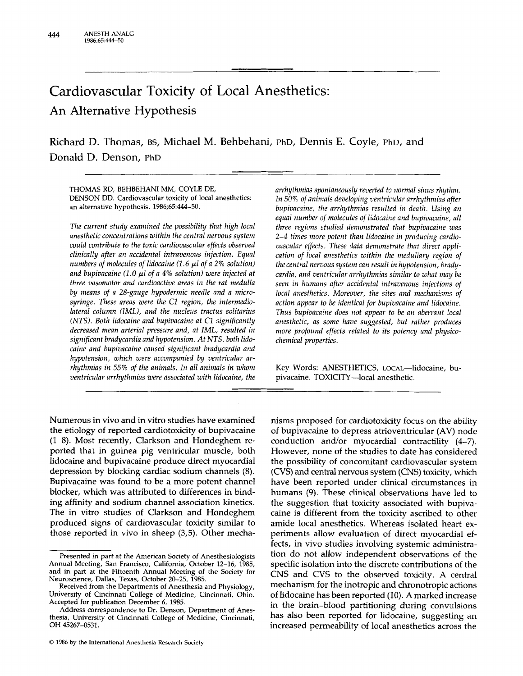# Cardiovascular Toxicity of Local Anesthetics: **An** Alternative Hypothesis

Richard D. Thomas, BS, Michael M. Behbehani, PhD, Dennis E. Coyle, PhD, and Donald D. Denson, PhD

THOMAS RD, BEHBEHANI MM, COYLE DE, DENSON DD. Cardiovascular toxicity **of** local anesthetics: an alternative hypothesis. 1986;65:444-50.

*The current study examined the possibility that high local anesthetic concentrations within the central nervous system could contribute to the toxic cardiovascular effects observed clinically after an accidental intravenous injection. Equal numbers of molecules of lidocaine (1.6 pi of a 2% solution) and bupivacaine (1 .O pl of a 4% solution) were injected at three vasomotor and cardioactive areas in the rat medulla*  by *means of a 28-gauge hypodermic needle and a microsyringe. These areas were the C1 region, the intermedio*lateral column (IML), and the nucleus tractus solitarius *(NTS). Both lidocaine and bupivacaine at C1 significantly decreased mean arterial pressure and, at IML, resulted in significant bradycardia and hypotension. At NTS, both lidocaine and bupivacaine caused significant bradycardia and hypotension, which were accompanied by ventricular arrhythmias in 55% of the animals. In all animals in whom ventricular arrhythmias were associated with lidocaine, the* 

Numerous in vivo and in vitro studies have examined the etiology of reported cardiotoxicity of bupivacaine (1-8). Most recently, Clarkson and Hondeghem reported that in guinea pig ventricular muscle, both lidocaine and bupivacaine produce direct myocardial depression by blocking cardiac sodium channels (8). Bupivacaine was found to be **a** more potent channel blocker, which was attributed to differences in binding affinity and sodium channel association kinetics. The in vitro studies of Clarkson and Hondeghem produced signs of cardiovascular toxicity similar to those reported in vivo in sheep *(3,5).* Other mecha*arrhythmias spontaneously reverted to normal sinus rhythm. In 50%* of *animals developing ventricular arrhythmias after bupivacaine, the arrhythmias resulted in death. Using an equal number* of *molecules* of *lidocaine and bupivacaine, all three regions studied demonstrated that bupivacaine was 2-4 times more potent than lidocaine in producing cardiovascular effects. These data demonstrate that direct application* of *local anesthetics within the medullary region* of *thecentral nervous system can result in hypotension, bradycardia, and ventricular arrhythmias similar to what may be seen in humans after accidental intravenous injections of local anesthetics. Moreover, the sites and mechanisms of action appear to be identical for bupivacaine and lidocaine. Thus bupivacaine does not appear to be an aberrant local anesthetic, as some have suggested, but rather produces more profound effects related to its potency and physicochemical properties.* 

Key Words: ANESTHETICS, LOCAL-lidocaine, bupivacaine. TOXICITY-local anesthetic.

nisms proposed for cardiotoxicity focus on the ability of bupivacaine to depress atrioventricular (AV) node conduction and/or myocardial contractility (4-7). However, none of the studies to date has considered the possibility of concomitant cardiovascular system (CVS) and central nervous system (CNS) toxicity, which have been reported under clinical circumstances in humans (9). These clinical observations have led to the suggestion that toxicity associated with bupivacaine is different from the toxicity ascribed to other amide local anesthetics. Whereas isolated heart experiments allow evaluation of direct myocardial effects, in vivo studies involving systemic administration do not allow independent observations of the specific isolation into the discrete contributions of the CNS and CVS to the observed toxicity. A central mechanism for the inotropic and chronotropic actions of lidocaine has been reported (10). **A** marked increase in the brain-blood partitioning during convulsions has also been reported for lidocaine, suggesting an increased permeability of local anesthetics across the

Presented in part at the American Society **of** Anesthesiologists Annual Meeting, San Francisco, California, October 12-16, 1985, and in part at the Fifteenth Annual Meeting of the Society for Neuroscience, Dallas, Texas, October 20-25, 1985.

Received from the Departments of Anesthesia and Physiology, University **of** Cincinnati College of Medicine, Cincinnati, Ohio. Accepted for publication December *6,* 1985.

Address correspondence to Dr. Denson, Department of Anesthesia, University of Cincinnati College of Medicine, Cincinnati, OH 45267-0531.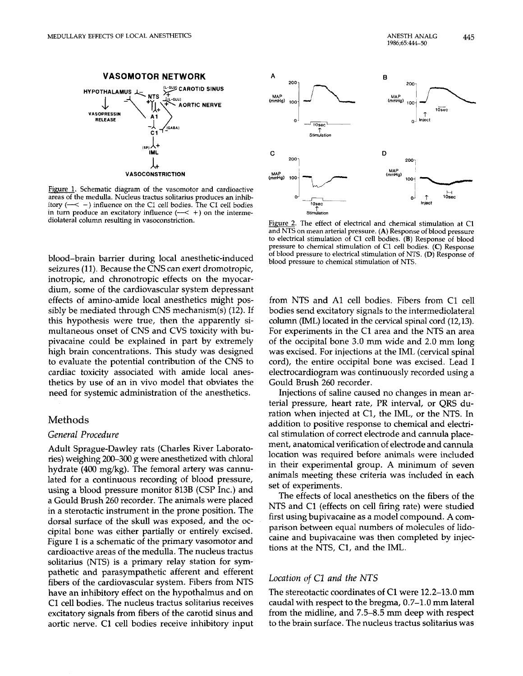

Figure 1. Schematic diagram of the vasomotor and cardioactive Figure 1. Schematic diagram of the vasomotor and cardioactive areas of the medulla. Nucleus tractus solitarius produces an inhib-<br>itory (— $\lt$  –) influence on the C1 cell bodies. The C1 cell bodies<br>in turn produce an excit in turn produce an excitatory influence  $(--< +)$  on the intermediolateral column resulting in vasoconstriction.

blood-brain barrier during local anesthetic-induced seizures (11). Because the CNS can exert dromotropic, inotropic, and chronotropic effects on the myocardium, some of the cardiovascular system depressant effects of amino-amide local anesthetics might possibly be mediated through CNS mechanism(s) (12). If this hypothesis were true, then the apparently simultaneous onset of CNS and CVS toxicity with bupivacaine could be explained in part by extremely high brain concentrations. This study was designed to evaluate the potential contribution of the CNS to cardiac toxicity associated with amide local anesthetics by use of an in vivo model that obviates the need for systemic administration of the anesthetics.

# Methods

### *General Procedure*

Adult Sprague-Dawley rats (Charles River Laboratories) weighing 200-300 g were anesthetized with chloral hydrate (400 mg/kg). The femoral artery was cannulated for a continuous recording of blood pressure, using a blood pressure monitor 813B (CSP Inc.) and a Gould Brush 260 recorder. The animals were placed in a sterotactic instrument in the prone position. The dorsal surface of the skull was exposed, and the occipital bone was either partially or entirely excised. Figure 1 is a schematic of the primary vasomotor and cardioactive areas of the medulla. The nucleus tractus solitarius (NTS) is a primary relay station for sympathetic and parasympathetic afferent and efferent fibers of the cardiovascular system. Fibers from NTS have an inhibitory effect on the hypothalmus and on C1 cell bodies. The nucleus tractus solitarius receives excitatory signals from fibers of the carotid sinus and aortic nerve. C1 cell bodies receive inhibitory input



Figure *2.* The effect of electrical and chemical stimulation at C1 and NTS on mean arterial pressure. **(A)** Response of blood pressure to electrical stimulation of C1 cell bodies. (B) Response of blood pressure to chemical stimulation of C1 cell bodies. **(C)** Response of blood pressure to electrical stimulation **of** NTS. **(D)** Response of blood pressure to chemical stimulation of NTS.

from NTS and A1 cell bodies. Fibers from C1 cell bodies send excitatory signals to the intermediolateral column (IML) located in the cervical spinal cord (12,13). For experiments in the C1 area and the NTS an area of the occipital bone 3.0 mm wide and 2.0 mm long was excised. For injections at the IML (cervical spinal cord), the entire occipital bone was excised. Lead I electrocardiogram was continuously recorded using a Gould Brush 260 recorder.

Injections of saline caused no changes in mean arterial pressure, heart rate, PR interval, or QRS duration when injected at C1, the IML, or the NTS. In addition to positive response to chemical and electrical stimulation of correct electrode and cannula placement, anatomical verification of electrode and cannula location was required before animals were included in their experimental group. A minimum of seven animals meeting these criteria was included in each set of experiments.

The effects of local anesthetics on the fibers of the NTS and C1 (effects on cell firing rate) were studied first using bupivacaine as a model compound. **A** comparison between equal numbers of molecules of lidocaine and bupivacaine was then completed by injections at the NTS, C1, and the IML.

### *Location* of *C1 and the NTS*

The stereotactic coordinates of C1 were 12.2-13.0 mm caudal with respect to the bregma, 0.7-1.0 mm lateral from the midline, and 7.5-8.5 mm deep with respect to the brain surface. The nucleus tractus solitarius was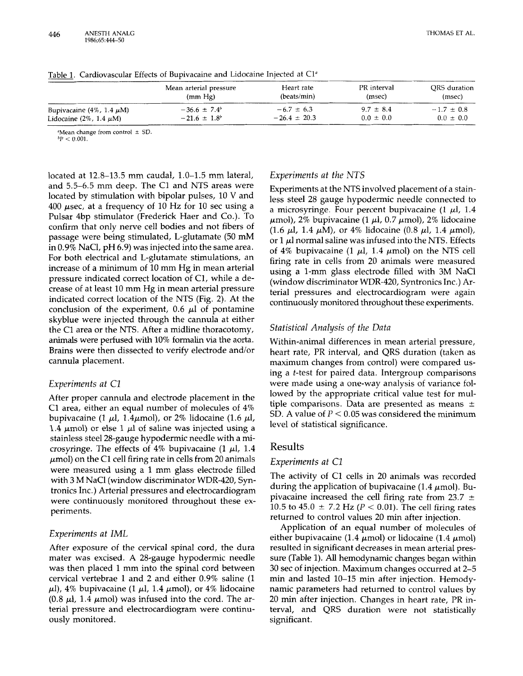|                                   | Mean arterial pressure | Heart rate<br>(beats/min) | PR interval   | ORS duration   |
|-----------------------------------|------------------------|---------------------------|---------------|----------------|
|                                   | (mm Hg)                |                           | (msec)        | (msec)         |
| Bupivacaine $(4\%$ , 1.4 $\mu$ M) | $-36.6 \pm 7.4^b$      | $-6.7 \pm 6.3$            | $9.7 \pm 8.4$ | $-1.7 \pm 0.8$ |
| Lidocaine $(2\%$ , 1.4 $\mu$ M)   | $-21.6 \pm 1.8^b$      | $-26.4 \pm 20.3$          | $0.0 \pm 0.0$ | $0.0 \pm 0.0$  |

Table 1. Cardiovascular Effects of Bupivacaine and Lidocaine Injected at C1"

**"Mean** change from control *2* SD.

 ${}^{b}P$  < 0.001.

located at 12.8-13.5 mm caudal, 1.0-1.5 mm lateral, and 5.5-6.5 mm deep. The C1 and NTS areas were located by stimulation with bipolar pulses, 10 V and 400  $\mu$ sec, at a frequency of 10 Hz for 10 sec using a Pulsar 4bp stimulator (Frederick Haer and Co.). To confirm that only nerve cell bodies and not fibers of passage were being stimulated, L-glutamate (50 mM in 0.9% NaC1, pH 6.9) was injected into the same area. For both electrical and L-glutamate stimulations, an increase of a minimum of 10 mm Hg in mean arterial pressure indicated correct location of C1, while a decrease of at least 10 mm Hg in mean arterial pressure indicated correct location of the NTS (Fig. 2). At the conclusion of the experiment,  $0.6 \mu l$  of pontamine skyblue were injected through the cannula at either the C1 area or the NTS. After a midline thoracotomy, animals were perfused with 10% formalin via the aorta. Brains were then dissected to verify electrode and/or cannula placement.

# *Experiments at* CZ

After proper cannula and electrode placement in the C1 area, either an equal number of molecules of  $4\%$ bupivacaine (1  $\mu$ l, 1.4 $\mu$ mol), or 2% lidocaine (1.6  $\mu$ l, 1.4  $\mu$ mol) or else 1  $\mu$ l of saline was injected using a stainless steel 28-gauge hypodermic needle with a microsyringe. The effects of  $4\%$  bupivacaine  $(1 \mu l, 1.4)$  $\mu$ mol) on the C1 cell firing rate in cells from 20 animals were measured using a 1 mm glass electrode filled with 3 M NaCl (window discriminator WDR-420, Syntronics Inc.) Arterial pressures and electrocardiogram were continuously monitored throughout these experiments.

## *Experiments at IML*

After exposure of the cervical spinal cord, the dura mater was excised. A 28-gauge hypodermic needle was then placed 1 mm into the spinal cord between cervical vertebrae 1 and 2 and either 0.9% saline (1  $\mu$ l), 4% bupivacaine (1  $\mu$ l, 1.4  $\mu$ mol), or 4% lidocaine  $(0.8 \mu l, 1.4 \mu mol)$  was infused into the cord. The arterial pressure and electrocardiogram were continuously monitored.

# *Experiments at the NTS*

Experiments at the NTS involved placement of a stainless steel 28 gauge hypodermic needle connected to a microsyringe. Four percent bupivacaine  $(1 \mu l, 1.4)$  $\mu$ mol), 2% bupivacaine (1  $\mu$ l, 0.7  $\mu$ mol), 2% lidocaine (1.6  $\mu$ l, 1.4  $\mu$ M), or 4% lidocaine (0.8  $\mu$ l, 1.4  $\mu$ mol), or 1  $\mu$  normal saline was infused into the NTS. Effects of 4% bupivacaine (1  $\mu$ l, 1.4  $\mu$ mol) on the NTS cell firing rate in cells from 20 animals were measured using a l-mm glass electrode filled with 3M NaCl (window discriminator WDR-420, Syntronics Inc.) Arterial pressures and electrocardiogram were again continuously monitored throughout these experiments.

# *Statistical Analysis of the Data*

Within-animal differences in mean arterial pressure, heart rate, PR interval, and QRS duration (taken as maximum changes from control) were compared using a t-test for paired data. Intergroup comparisons were made using a one-way analysis of variance followed by the appropriate critical value test for multiple comparisons. Data are presented as means  $\pm$ SD. **A** value of *P* < 0.05 was considered the minimum level of statistical significance.

# Results

## *Experiments at Cl*

The activity of C1 cells in 20 animals was recorded during the application of bupivacaine (1.4  $\mu$ mol). Bupivacaine increased the cell firing rate from 23.7  $\pm$ 10.5 to 45.0  $\pm$  7.2 Hz ( $P < 0.01$ ). The cell firing rates returned to control values 20 min after injection.

Application of an equal number of molecules of either bupivacaine (1.4  $\mu$ mol) or lidocaine (1.4  $\mu$ mol) resulted in significant decreases in mean arterial pressure (Table 1). *All* hemodynamic changes began within 30 sec of injection. Maximum changes occurred at 2-5 min and lasted 10-15 min after injection. Hemodynamic parameters had returned to control values by 20 min after injection. Changes in heart rate, PR interval, and QRS duration were not statistically significant.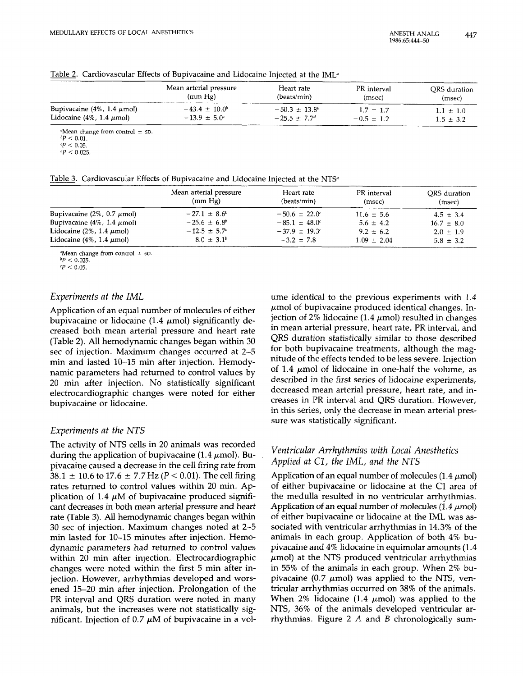|  |  | Table 2. Cardiovascular Effects of Bupivacaine and Lidocaine Injected at the IML <sup>a</sup> |  |
|--|--|-----------------------------------------------------------------------------------------------|--|
|  |  |                                                                                               |  |

|                                     | Mean arterial pressure  | Heart rate               | PR interval    | QRS duration  |
|-------------------------------------|-------------------------|--------------------------|----------------|---------------|
|                                     | (mm Hg)                 | (beats/min)              | (msec)         | (msec)        |
| Bupivacaine $(4\%$ , 1.4 $\mu$ mol) | $-43.4 \pm 10.0^b$      | $-50.3 \pm 13.8^{\circ}$ | $1.7 \pm 1.7$  | $1.1 \pm 1.0$ |
| Lidocaine $(4\%$ , 1.4 $\mu$ mol)   | $-13.9 \pm 5.0^{\circ}$ | $-25.5 \pm 7.7^{\circ}$  | $-0.5 \pm 1.2$ | $1.5 \pm 3.2$ |

ange from control  $\pm$ *'P* < 0.01.  $P < 0.05$ .

 $^{d}P < 0.025$ .

|  |  | Table 3. Cardiovascular Effects of Bupivacaine and Lidocaine Injected at the NTS <sup>a</sup> |
|--|--|-----------------------------------------------------------------------------------------------|
|  |  |                                                                                               |

|                                     | Mean arterial pressure<br>(mm Hg) | Heart rate<br>(beats/min) | PR interval<br>(msec) | <b>ORS</b> duration<br>(msec) |
|-------------------------------------|-----------------------------------|---------------------------|-----------------------|-------------------------------|
| Bupivacaine $(2\%$ , 0.7 $\mu$ mol) | $-27.1 \pm 8.6^b$                 | $-50.6 \pm 22.0^{\circ}$  | $11.6 \pm 5.6$        | $4.5 \pm 3.4$                 |
| Bupivacaine $(4\%$ , 1.4 $\mu$ mol) | $-25.6 \pm 6.8^{\circ}$           | $-85.1 \pm 48.0^{\circ}$  | $5.6 \pm 4.2$         | $16.7 \pm 8.0$                |
| Lidocaine $(2\%$ , 1.4 $\mu$ mol)   | $-12.5 \pm 5.7^{\circ}$           | $-37.9 \pm 19.3^{\circ}$  | $9.2 \pm 6.2$         | $2.0 \pm 1.9$                 |
| Lidocaine $(4\%$ , 1.4 $\mu$ mol)   | $-8.0 \pm 3.1^b$                  | $-3.2 \pm 7.8$            | $1.09 \pm 2.04$       | $5.8 \pm 3.2$                 |

"Mean change from control  $\pm$  sD.

### *Experiments at the IML*

Application of an equal number of molecules of either bupivacaine or lidocaine  $(1.4 \mu \text{mol})$  significantly decreased both mean arterial pressure and heart rate (Table 2). All hemodynamic changes began within 30 sec of injection. Maximum changes occurred at 2-5 min and lasted 10-15 min after injection. Hemodynamic parameters had returned to control values by 20 min after injection. No statistically significant electrocardiographic changes were noted for either bupivacaine or lidocaine.

### *Experiments at the NTS*

The activity of NTS cells in 20 animals was recorded during the application of bupivacaine  $(1.4 \mu \text{mol})$ . Bupivacaine caused a decrease in the cell firing rate from  $38.1 \pm 10.6$  to  $17.6 \pm 7.7$  Hz *(P* < 0.01). The cell firing rates returned to control values within 20 min. Application of 1.4  $\mu$ M of bupivacaine produced significant decreases in both mean arterial pressure and heart rate (Table 3). *All* hemodynamic changes began within **30** sec of injection. Maximum changes noted at 2-5 min lasted for 10-15 minutes after injection. Hemodynamic parameters had returned to control values within 20 min after injection. Electrocardiographic changes were noted within the first 5 min after injection. However, arrhythmias developed and worsened 15-20 min after injection. Prolongation of the PR interval and QRS duration were noted in many animals, but the increases were not statistically significant. Injection of 0.7  $\mu$ M of bupivacaine in a vol-

ume identical to the previous experiments with 1.4  $\mu$ mol of bupivacaine produced identical changes. Injection of 2% lidocaine (1.4  $\mu$ mol) resulted in changes in mean arterial pressure, heart rate, PR interval, and QRS duration statistically similar to those described for both bupivacaine treatments, although the magnitude of the effects tended to be less severe. Injection of 1.4  $\mu$ mol of lidocaine in one-half the volume, as described in the first series of lidocaine experiments, decreased mean arterial pressure, heart rate, and increases in PR interval and QRS duration. However, in this series, only the decrease in mean arterial pressure was statistically significant.

## *Ventricular Arrhythmias with Local Anesthetics Applied at* CZ, *the IML, and the NTS*

Application of an equal number of molecules  $(1.4 \mu mol)$ of either bupivacaine or lidocaine at the C1 area of the medulla resulted in no ventricular arrhythmias. Application of an equal number of molecules  $(1.4 \mu$ mol) of either bupivacaine or lidocaine at the IML was associated with ventricular arrhythmias in 14.3% of the animals in each group. Application of both **4%** bupivacaine and 4% lidocaine in equimolar amounts (1.4  $\mu$ mol) at the NTS produced ventricular arrhythmias in 55% of the animals in each group. When 2% bupivacaine (0.7  $\mu$ mol) was applied to the NTS, ventricular arrhythmias occurred on **38%** of the animals. When  $2\%$  lidocaine (1.4  $\mu$ mol) was applied to the NTS, 36% of the animals developed ventricular arrhythmias. Figure 2 *A* and *B* chronologically sum-

 $bP < 0.025$ .  $c_{P}$  < 0.05.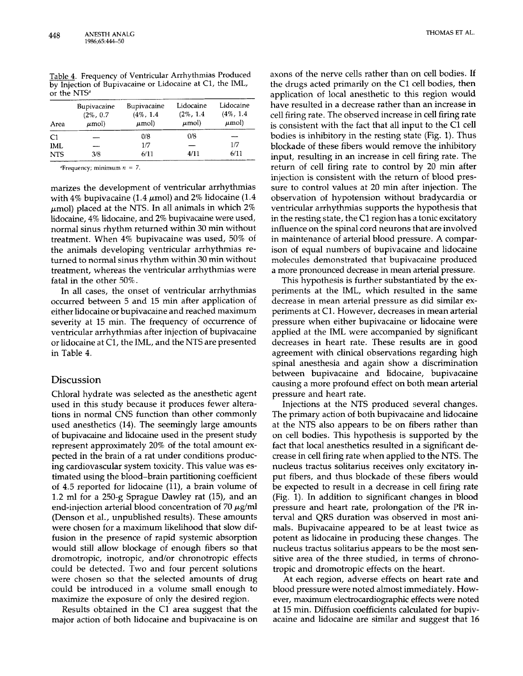Table **4.** Frequency of Ventricular Arrhythmias Produced by Injection of Bupivacaine or Lidocaine at C1, the IML, or the NTS<sup>a</sup>

| Area           | Bupivacaine<br>$(2\% , 0.7)$<br>$\mu$ mol) | Bupivacaine<br>$(4\%, 1.4)$<br>$\mu$ mol) | Lidocaine<br>$(2\% \, . \, 1.4$<br>$\mu$ mol) | Lidocaine<br>$(4\%, 1.4)$<br>$\mu$ mol) |
|----------------|--------------------------------------------|-------------------------------------------|-----------------------------------------------|-----------------------------------------|
| C <sub>1</sub> |                                            | 0/8                                       | 0/8                                           |                                         |
| <b>IML</b>     |                                            | 1/7                                       |                                               | 1/7                                     |
| <b>NTS</b>     | 3/8                                        | 6/11                                      | 4/11                                          | 6/11                                    |

 ${}^4$ **Frequency; minimum**  $n = 7$ **.** 

marizes the development of ventricular arrhythmias with 4% bupivacaine (1.4  $\mu$ mol) and 2% lidocaine (1.4  $\mu$ mol) placed at the NTS. In all animals in which 2% lidocaine, 4% lidocaine, and 2% bupivacaine were used, normal sinus rhythm returned within 30 min without treatment. When 4% bupivacaine was used, 50% of the animals developing ventricular arrhythmias returned to normal sinus rhythm within 30 min without treatment, whereas the ventricular arrhythmias were fatal in the other 50%.

In all cases, the onset of ventricular arrhythmias occurred between 5 and 15 min after application of either lidocaine or bupivacaine and reached maximum severity at 15 min. The frequency of occurrence of ventricular arrhythmias after injection of bupivacaine or lidocaine at C1, the IML, and the NTS are presented in Table 4.

#### **Discussion**

Chloral hydrate was selected as the anesthetic agent used in this study because it produces fewer alterations in normal CNS function than other commonly used anesthetics (14). The seemingly large amounts of bupivacaine and lidocaine used in the present study represent approximately 20% of the total amount expected in the brain of a rat under conditions producing cardiovascular system toxicity. This value was estimated using the blood-brain partitioning coefficient of 4.5 reported for lidocaine (11), a brain volume of 1.2 ml for a 250-g Sprague Dawley rat (15), and an end-injection arterial blood concentration of 70  $\mu$ g/ml (Denson et al., unpublished results). These amounts were chosen for a maximum likelihood that slow diffusion in the presence of rapid systemic absorption would still allow blockage of enough fibers so that dromotropic, inotropic, and/or chronotropic effects could be detected. Two and four percent solutions were chosen so that the selected amounts of drug could be introduced in a volume small enough to maximize the exposure of only the desired region.

Results obtained in the C1 area suggest that the major action of both lidocaine and bupivacaine is on

axons of the nerve cells rather than on cell bodies. If the drugs acted primarily on the C1 cell bodies, then application of local anesthetic to this region would have resulted in a decrease rather than an increase in (2%, 1.4 (2%, 1.4 (4%, 1.4 cell firing rate. The observed increase in cell firing rate<br>
"mol) umol) umol) umol) is consistent with the fact that all input to the C1 cell bodies is inhibitory in the resting state (Fig. I). Thus blockade of these fibers would remove the inhibitory input, resulting in an increase in cell firing rate. The return of cell firing rate to control by 20 min after injection is consistent with the return of blood pressure to control values at 20 min after injection. The observation of hypotension without bradycardia or ventricular arrhythmias supports the hypothesis that in the resting state, the C1 region has a tonic excitatory influence on the spinal cord neurons that are involved in maintenance of arterial blood pressure. **A** comparison of equal numbers of bupivacaine and lidocaine molecules demonstrated that bupivacaine produced a more pronounced decrease in mean arterial pressure.

> This hypothesis is further substantiated by the experiments at the IML, which resulted in the same decrease in mean arterial pressure as did similar experiments at C1. However, decreases in mean arterial pressure when either bupivacaine or lidocaine were applied at the IML were accompanied by significant decreases in heart rate. These results are in good agreement with clinical observations regarding high spinal anesthesia and again show a discrimination between bupivacaine and lidocaine, bupivacaine causing a more profound effect on both mean arterial pressure and heart rate.

> Injections at the NTS produced several changes. The primary action of both bupivacaine and lidocaine at the NTS also appears to be on fibers rather than on cell bodies. This hypothesis is supported by the fact that local anesthetics resulted in a significant decrease in cell firing rate when applied to the NTS. The nucleus tractus solitarius receives only excitatory input fibers, and thus blockade of these fibers would be expected to result in a decrease in cell firing rate (Fig. **1).** In addition to significant changes in blood pressure and heart rate, prolongation of the PR interval and QRS duration was observed in most animals. Bupivacaine appeared to be at least twice as potent as lidocaine in producing these changes. The nucleus tractus solitarius appears to be the most sensitive area of the three studied, in terms of chronotropic and dromotropic effects on the heart.

> At each region, adverse effects on heart rate and blood pressure were noted almost immediately. However, maximum electrocardiographic effects were noted at 15 min. Diffusion coefficients calculated for bupivacaine and lidocaine are similar and suggest that 16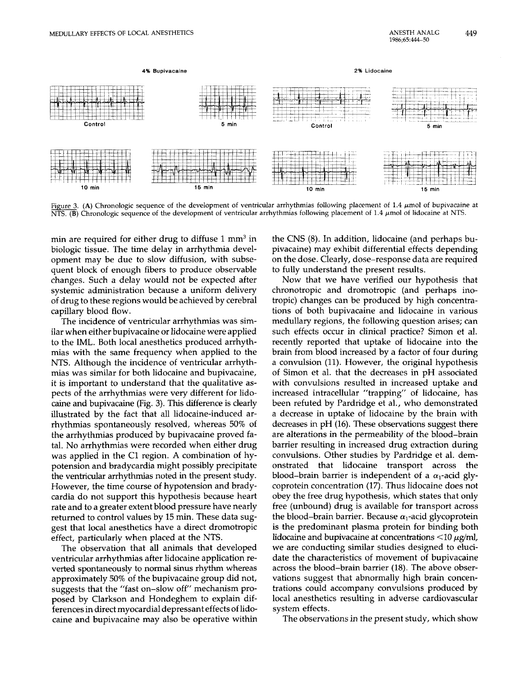

Figure **3. (A)** Chronologic sequence of the development of ventricular arrhythmias following placement of **1.4** pmol of bupivacaine at NTS. **(B)** Chronologic sequence **of** the development of ventricular arrhythmias following placement of **1.4** pmol **of** lidocaine at NTS.

min are required for either drug to diffuse  $1 \text{ mm}^3$  in biologic tissue. The time delay in arrhythmia development may be due to slow diffusion, with subsequent block of enough fibers to produce observable changes. Such a delay would not be expected after systemic administration because a uniform delivery of drug to these regions would be achieved by cerebral capillary blood flow.

The incidence of ventricular arrhythmias was similar when either bupivacaine or lidocaine were applied to the IML. Both local anesthetics produced arrhythmias with the same frequency when applied to the NTS. Although the incidence of ventricular arrhythmias was similar for both lidocaine and bupivacaine, it is important to understand that the qualitative aspects of the arrhythmias were very different for lidocaine and bupivacaine (Fig. **3).** This difference is clearly illustrated by the fact that all lidocaine-induced arrhythmias spontaneously resolved, whereas 50% of the arrhythmias produced by bupivacaine proved fatal. No arrhythmias were recorded when either drug was applied in the C1 region. **A** combination of hypotension and bradycardia might possibly precipitate the ventricular arrhythmias noted in the present study. However, the time course of hypotension and bradycardia do not support this hypothesis because heart rate and to a greater extent blood pressure have nearly returned to control values by 15 min. These data suggest that local anesthetics have a direct dromotropic effect, particularly when placed at the NTS.

The observation that all animals that developed ventricular arrhythmias after lidocaine application reverted spontaneously to normal sinus rhythm whereas approximately 50% of the bupivacaine group did not, suggests that the "fast on-slow off" mechanism proposed by Clarkson and Hondeghem to explain differences in direct myocardial depressant effects of lidocaine and bupivacaine may also be operative within the CNS (8). In addition, lidocaine (and perhaps bupivacaine) may exhibit differential effects depending on the dose. Clearly, dose-response data are required to fully understand the present results.

Now that we have verified our hypothesis that chronotropic and dromotropic (and perhaps inotropic) changes can be produced by high concentrations of both bupivacaine and lidocaine in various medullary regions, the following question arises; can such effects occur in clinical practice? Simon et al. recently reported that uptake of lidocaine into the brain from blood increased by a factor of four during a convulsion (11). However, the original hypothesis of Simon et al. that the decreases in pH associated with convulsions resulted in increased uptake and increased intracellular "trapping" of lidocaine, has been refuted by Pardridge et al., who demonstrated a decrease in uptake of Iidocaine by the brain with decreases in pH (16). These observations suggest there are alterations in the permeability of the blood-brain barrier resulting in increased drug extraction during convulsions. Other studies by Pardridge et al. demonstrated that lidocaine transport across the blood-brain barrier is independent of a  $\alpha_1$ -acid glycoprotein concentration (17). Thus lidocaine does not obey the free drug hypothesis, which states that only free (unbound) drug is available for transport across the blood-brain barrier. Because  $\alpha_1$ -acid glycoprotein is the predominant plasma protein for binding both lidocaine and bupivacaine at concentrations  $<$ 10  $\mu$ g/ml, we are conducting similar studies designed to elucidate the characteristics of movement of bupivacaine across the blood-brain barrier (18). The above observations suggest that abnormally high brain concentrations could accompany convulsions produced by local anesthetics resulting in adverse cardiovascular system effects.

The observations in the present study, which show